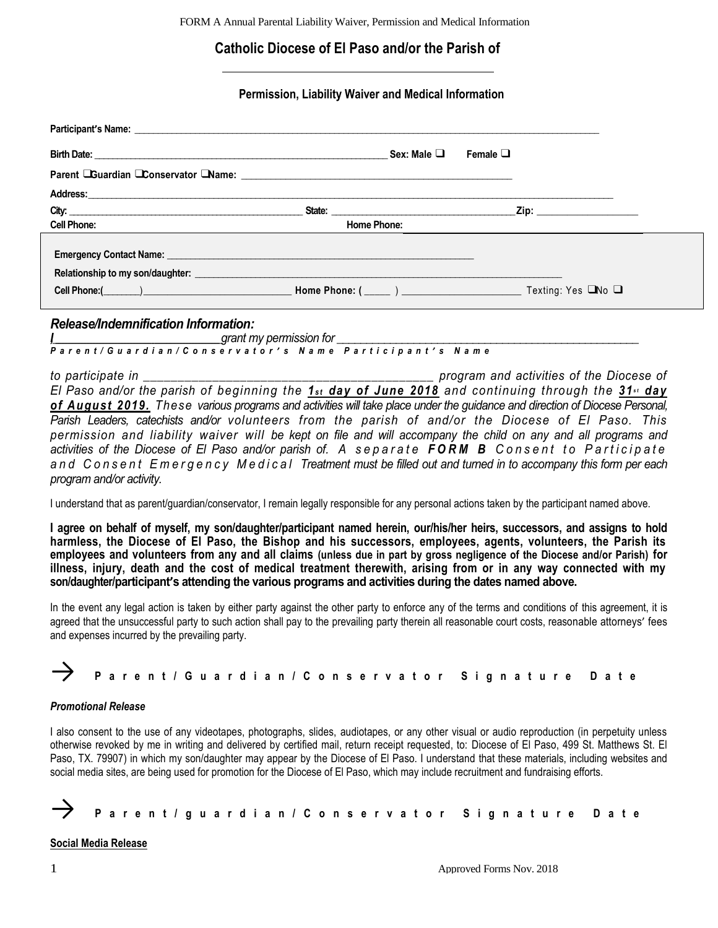# **Catholic Diocese of El Paso and/or the Parish of**

### **Permission, Liability Waiver and Medical Information**

|                                                                                                                                                                                                                                      |                                                                                                                                                                                                                                | Sex: Male ❑ | Female $\Box$ |                                                                                                                                                                                                                                |  |
|--------------------------------------------------------------------------------------------------------------------------------------------------------------------------------------------------------------------------------------|--------------------------------------------------------------------------------------------------------------------------------------------------------------------------------------------------------------------------------|-------------|---------------|--------------------------------------------------------------------------------------------------------------------------------------------------------------------------------------------------------------------------------|--|
|                                                                                                                                                                                                                                      |                                                                                                                                                                                                                                |             |               |                                                                                                                                                                                                                                |  |
|                                                                                                                                                                                                                                      |                                                                                                                                                                                                                                |             |               |                                                                                                                                                                                                                                |  |
| City: <u>City: 2000 City: 2000 City: 2000 City: 2000 City: 2000 City: 2000 City: 2000 City: 2000 City: 2000 City: 2000 City: 2000 City: 2000 City: 2000 City: 2000 City: 2000 City: 2000 City: 2000 City: 2000 City: 2000 City: </u> | State: the contract of the contract of the contract of the contract of the contract of the contract of the contract of the contract of the contract of the contract of the contract of the contract of the contract of the con |             |               | Zip: will be a series of the series of the series of the series of the series of the series of the series of the series of the series of the series of the series of the series of the series of the series of the series of t |  |
| <b>Cell Phone:</b>                                                                                                                                                                                                                   | <b>Home Phone:</b>                                                                                                                                                                                                             |             |               |                                                                                                                                                                                                                                |  |
| Relationship to my son/daughter: <b>with the contract of the contract of the contract of the contract of the contract of the contract of the contract of the contract of the contract of the contract of the contract of the con</b> |                                                                                                                                                                                                                                |             |               |                                                                                                                                                                                                                                |  |
| Cell Phone: $\overline{C}$ Texting: Yes $\Box$ No $\Box$                                                                                                                                                                             |                                                                                                                                                                                                                                |             |               |                                                                                                                                                                                                                                |  |
| Release/Indemnification Information:                                                                                                                                                                                                 |                                                                                                                                                                                                                                |             |               |                                                                                                                                                                                                                                |  |

*I,\_\_\_\_\_\_\_\_\_\_\_\_\_\_\_\_\_\_\_\_\_\_\_\_\_\_\_\_\_\_\_\_\_\_\_\_\_\_\_\_\_\_\_\_\_\_\_\_\_\_\_\_\_\_grant my permission for \_\_\_\_\_\_\_\_\_\_\_\_\_\_\_\_\_\_\_\_\_\_\_\_\_\_\_\_\_\_\_\_\_\_\_\_\_\_\_\_\_\_\_\_\_\_\_\_\_\_\_*

*P a r e n t / G u a r d i a n / C o n s e r v a t o r ' s N a m e P a r t i c i p a n t ' s N a m e*

*to participate in \_\_\_\_\_\_\_\_\_\_\_\_\_\_\_\_\_\_\_\_\_\_\_\_\_\_\_\_\_\_\_\_\_\_\_\_\_\_\_\_\_\_ program and activities of the Diocese of El Paso and/or the parish of beginning the 1<sub>st</sub> day of June 2018</sub> and continuing through the 31<sup><i>st*</sup> day *of August 2019. These various programs and activities will take place under the guidance and direction of Diocese Personal, Parish Leaders, catechists and/or volunteers from the parish of and/or the Diocese of El Paso. This permission and liability waiver will be kept on file and will accompany the child on any and all programs and activities of the Diocese of El Paso and/or parish of. A separate FORM B Consent to Participate a n d C o n s e n t E m e r g e n c y M e d i c a l Treatment must be filled out and turned in to accompany this form per each program and/or activity.*

I understand that as parent/guardian/conservator, I remain legally responsible for any personal actions taken by the participant named above.

**I agree on behalf of myself, my son/daughter/participant named herein, our/his/her heirs, successors, and assigns to hold harmless, the Diocese of El Paso, the Bishop and his successors, employees, agents, volunteers, the Parish its employees and volunteers from any and all claims (unless due in part by gross negligence of the Diocese and/or Parish) for illness, injury, death and the cost of medical treatment therewith, arising from or in any way connected with my son/daughter/participant's attending the various programs and activities during the dates named above.**

In the event any legal action is taken by either party against the other party to enforce any of the terms and conditions of this agreement, it is agreed that the unsuccessful party to such action shall pay to the prevailing party therein all reasonable court costs, reasonable attorneys' fees and expenses incurred by the prevailing party.

|  | Parent/Guardian/Conservator Signature Date |  |
|--|--------------------------------------------|--|
|  |                                            |  |

#### *Promotional Release*

I also consent to the use of any videotapes, photographs, slides, audiotapes, or any other visual or audio reproduction (in perpetuity unless otherwise revoked by me in writing and delivered by certified mail, return receipt requested, to: Diocese of El Paso, 499 St. Matthews St. El Paso, TX. 79907) in which my son/daughter may appear by the Diocese of El Paso. I understand that these materials, including websites and social media sites, are being used for promotion for the Diocese of El Paso, which may include recruitment and fundraising efforts.



#### **Social Media Release**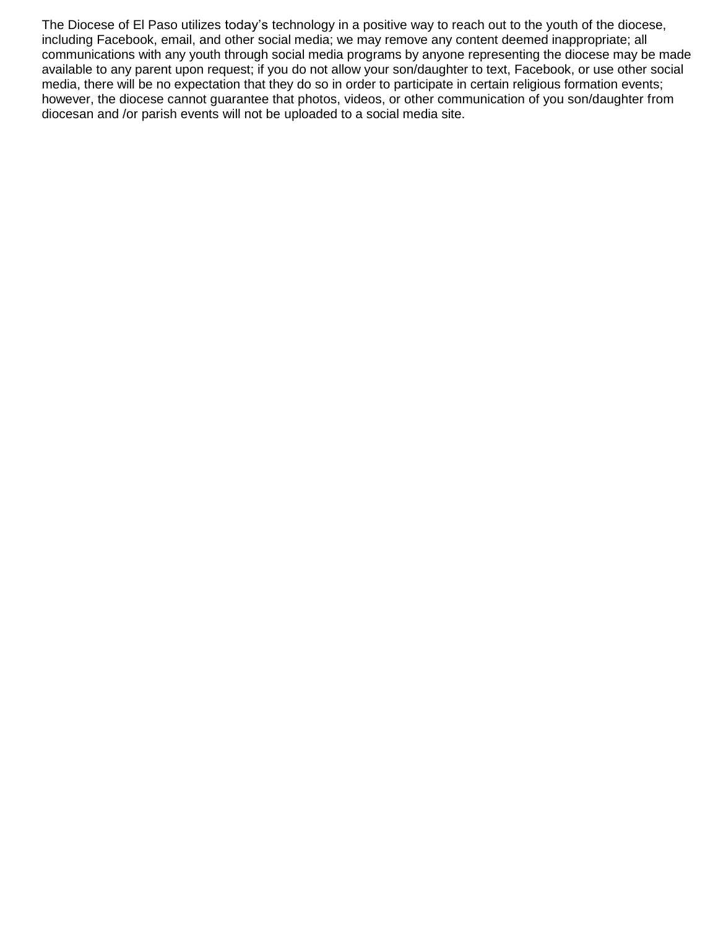The Diocese of El Paso utilizes today's technology in a positive way to reach out to the youth of the diocese, including Facebook, email, and other social media; we may remove any content deemed inappropriate; all communications with any youth through social media programs by anyone representing the diocese may be made available to any parent upon request; if you do not allow your son/daughter to text, Facebook, or use other social media, there will be no expectation that they do so in order to participate in certain religious formation events; however, the diocese cannot guarantee that photos, videos, or other communication of you son/daughter from diocesan and /or parish events will not be uploaded to a social media site.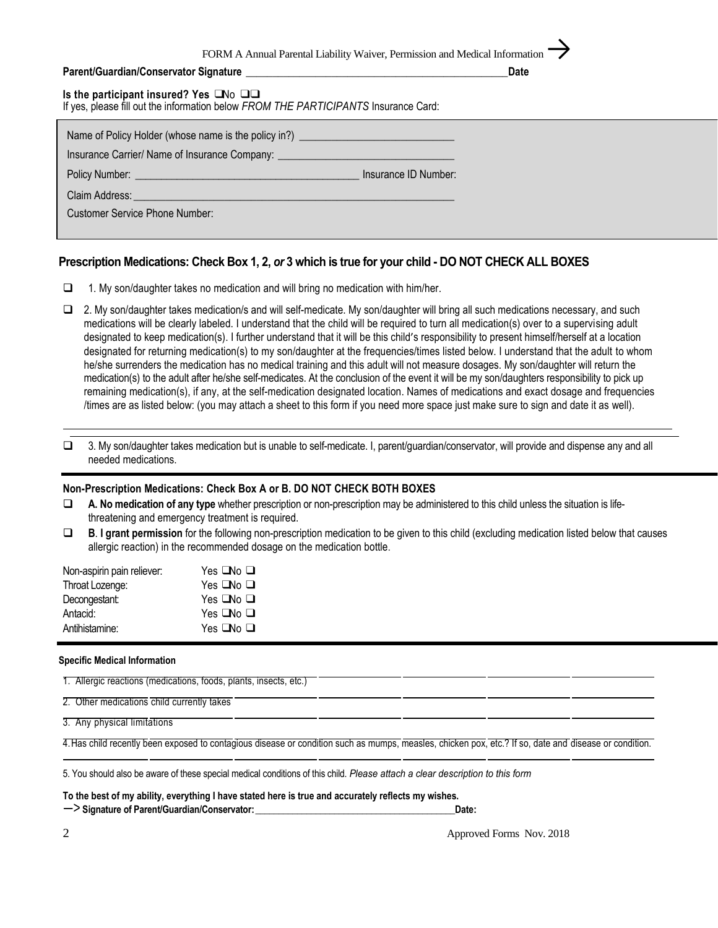FORM A Annual Parental Liability Waiver, Permission and Medical Information

| Parent/Guardian/Conservator Signature | Date |
|---------------------------------------|------|
|                                       |      |

| Is the participant insured? Yes $\square$ No $\square\square$<br>If yes, please fill out the information below FROM THE PARTICIPANTS Insurance Card:                                                                                                                   |                      |
|------------------------------------------------------------------------------------------------------------------------------------------------------------------------------------------------------------------------------------------------------------------------|----------------------|
| Name of Policy Holder (whose name is the policy in?) ___________________________<br>Insurance Carrier/ Name of Insurance Company: __________________________________                                                                                                   |                      |
| Policy Number: <u>example and the contract of the contract of the contract of the contract of the contract of the contract of the contract of the contract of the contract of the contract of the contract of the contract of th</u>                                   | Insurance ID Number: |
| Claim Address: <u>New York: New York: New York: New York: New York: New York: New York: New York: New York: New York: New York: New York: New York: New York: New York: New York: New York: New York: New York: New York: New Yo</u><br>Customer Service Phone Number: |                      |

### **Prescription Medications: Check Box 1, 2,** *or* **3 which is true for your child - DO NOT CHECK ALL BOXES**

- $\Box$  1. My son/daughter takes no medication and will bring no medication with him/her.
- □ 2. My son/daughter takes medication/s and will self-medicate. My son/daughter will bring all such medications necessary, and such medications will be clearly labeled. I understand that the child will be required to turn all medication(s) over to a supervising adult designated to keep medication(s). I further understand that it will be this child's responsibility to present himself/herself at a location designated for returning medication(s) to my son/daughter at the frequencies/times listed below. I understand that the adult to whom he/she surrenders the medication has no medical training and this adult will not measure dosages. My son/daughter will return the medication(s) to the adult after he/she self-medicates. At the conclusion of the event it will be my son/daughters responsibility to pick up remaining medication(s), if any, at the self-medication designated location. Names of medications and exact dosage and frequencies /times are as listed below: (you may attach a sheet to this form if you need more space just make sure to sign and date it as well).

 3. My son/daughter takes medication but is unable to self-medicate. I, parent/guardian/conservator, will provide and dispense any and all needed medications.

#### **Non-Prescription Medications: Check Box A or B. DO NOT CHECK BOTH BOXES**

- **A. No medication of any type** whether prescription or non-prescription may be administered to this child unless the situation is lifethreatening and emergency treatment is required.
- **B**. **I grant permission** for the following non-prescription medication to be given to this child (excluding medication listed below that causes allergic reaction) in the recommended dosage on the medication bottle.

| Non-aspirin pain reliever: | Yes $\Box$ No $\Box$ |
|----------------------------|----------------------|
| Throat Lozenge:            | Yes $\Box$ No $\Box$ |
| Decongestant:              | Yes $\Box$ No $\Box$ |
| Antacid:                   | Yes $\Box$ No $\Box$ |
| Antihistamine:             | Yes $\Box$ No $\Box$ |
|                            |                      |

#### **Specific Medical Information**

1. Allergic reactions (medications, foods, plants, insects, etc.)

2. Other medications child currently takes

3. Any physical limitations

4.Has child recently been exposed to contagious disease or condition such as mumps, measles, chicken pox, etc.? If so, date and disease or condition.

5. You should also be aware of these special medical conditions of this child. *Please attach a clear description to this form* 

**To the best of my ability, everything I have stated here is true and accurately reflects my wishes.** —> **Signature of Parent/Guardian/Conservator:\_\_\_\_\_\_\_\_\_\_\_\_\_\_\_\_\_\_\_\_\_\_\_\_\_\_\_\_\_\_\_\_\_\_\_\_\_\_\_\_\_\_\_Date:**

2 **2 Approved Forms Nov. 2018**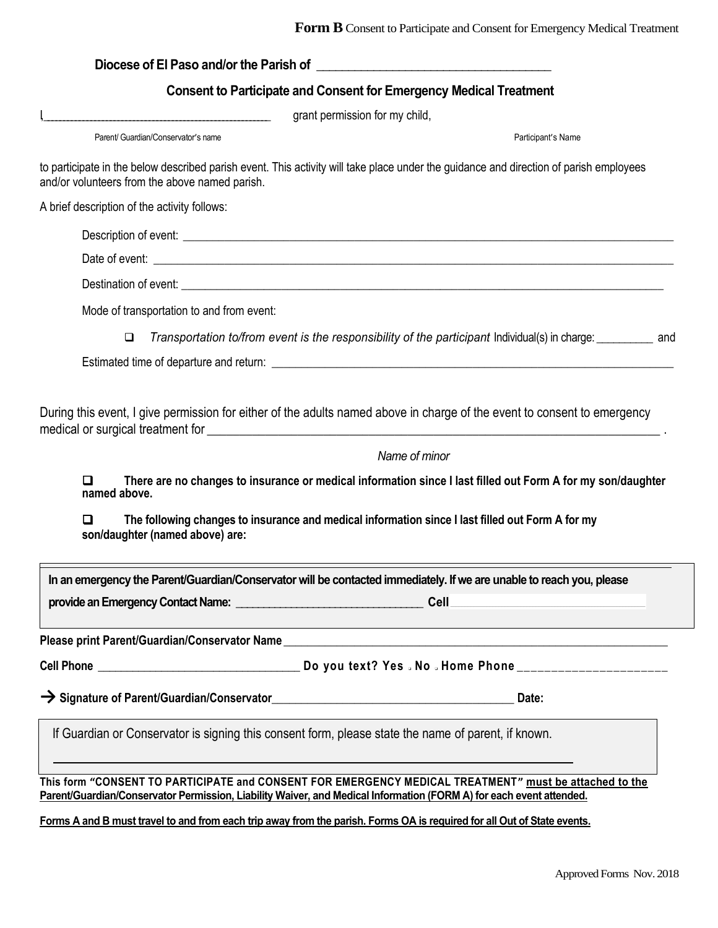|   |                                                 | <b>Consent to Participate and Consent for Emergency Medical Treatment</b>                                                                                                                                                                                |
|---|-------------------------------------------------|----------------------------------------------------------------------------------------------------------------------------------------------------------------------------------------------------------------------------------------------------------|
|   |                                                 | grant permission for my child,                                                                                                                                                                                                                           |
|   | Parent/ Guardian/Conservator's name             | Participant's Name                                                                                                                                                                                                                                       |
|   | and/or volunteers from the above named parish.  | to participate in the below described parish event. This activity will take place under the guidance and direction of parish employees                                                                                                                   |
|   | A brief description of the activity follows:    |                                                                                                                                                                                                                                                          |
|   |                                                 |                                                                                                                                                                                                                                                          |
|   |                                                 |                                                                                                                                                                                                                                                          |
|   |                                                 |                                                                                                                                                                                                                                                          |
|   | Mode of transportation to and from event:       |                                                                                                                                                                                                                                                          |
|   | $\Box$                                          | Transportation to/from event is the responsibility of the participant Individual(s) in charge: __________ and                                                                                                                                            |
|   |                                                 | Estimated time of departure and return: Letter and the state of the state of the state of the state of the state of the state of the state of the state of the state of the state of the state of the state of the state of th                           |
| □ |                                                 | During this event, I give permission for either of the adults named above in charge of the event to consent to emergency<br>Name of minor<br>There are no changes to insurance or medical information since I last filled out Form A for my son/daughter |
| □ | named above.<br>son/daughter (named above) are: | The following changes to insurance and medical information since I last filled out Form A for my                                                                                                                                                         |
|   |                                                 | In an emergency the Parent/Guardian/Conservator will be contacted immediately. If we are unable to reach you, please                                                                                                                                     |
|   |                                                 |                                                                                                                                                                                                                                                          |
|   |                                                 | Please print Parent/Guardian/Conservator Name ___________________________________                                                                                                                                                                        |
|   |                                                 |                                                                                                                                                                                                                                                          |
|   |                                                 |                                                                                                                                                                                                                                                          |
|   |                                                 | If Guardian or Conservator is signing this consent form, please state the name of parent, if known.                                                                                                                                                      |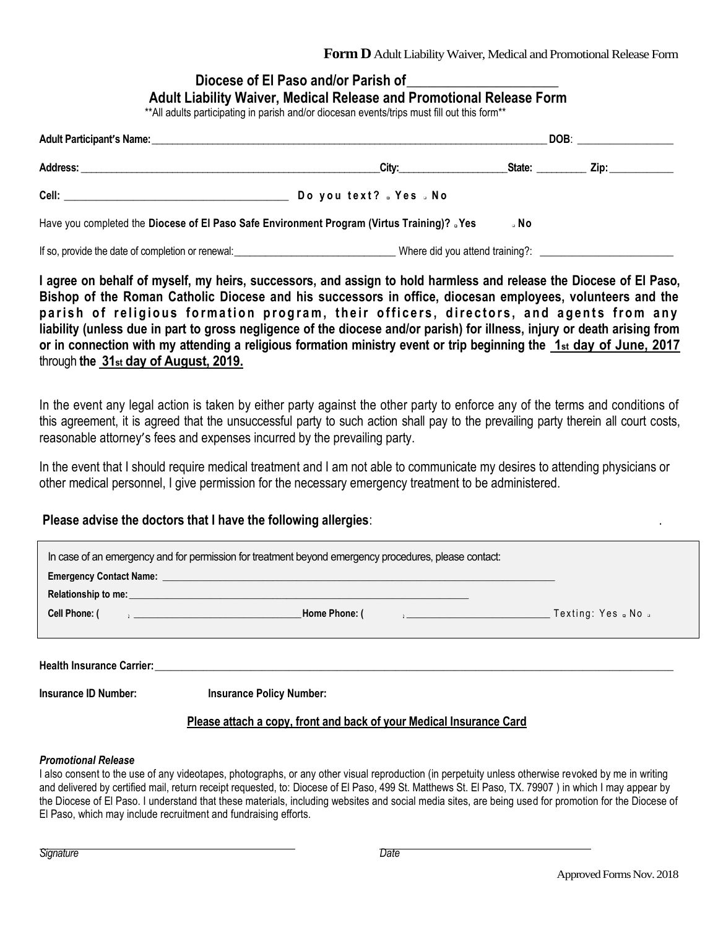# **Diocese of El Paso and/or Parish of\_\_\_\_\_\_\_\_\_\_\_\_\_\_\_\_\_\_\_\_\_\_**

| Adult Liability Waiver, Medical Release and Promotional Release Form |  |  |  |
|----------------------------------------------------------------------|--|--|--|
|----------------------------------------------------------------------|--|--|--|

\*\*All adults participating in parish and/or diocesan events/trips must fill out this form\*\*

|                                                                                             |                                                                                                                                                                                                                                |        | DOB: the contract of the contract of the contract of the contract of the contract of the contract of the contract of the contract of the contract of the contract of the contract of the contract of the contract of the contr |  |
|---------------------------------------------------------------------------------------------|--------------------------------------------------------------------------------------------------------------------------------------------------------------------------------------------------------------------------------|--------|--------------------------------------------------------------------------------------------------------------------------------------------------------------------------------------------------------------------------------|--|
| Address:                                                                                    | City: the contract of the contract of the contract of the contract of the contract of the contract of the contract of the contract of the contract of the contract of the contract of the contract of the contract of the cont | State: | Zip: the contract of the contract of the contract of the contract of the contract of the contract of the contract of the contract of the contract of the contract of the contract of the contract of the contract of the contr |  |
|                                                                                             | Do you text? . Yes . No                                                                                                                                                                                                        |        |                                                                                                                                                                                                                                |  |
| Have you completed the Diocese of El Paso Safe Environment Program (Virtus Training)? . Yes |                                                                                                                                                                                                                                | ∍ No   |                                                                                                                                                                                                                                |  |
| If so, provide the date of completion or renewal:                                           | Where did you attend training?:                                                                                                                                                                                                |        |                                                                                                                                                                                                                                |  |

**I agree on behalf of myself, my heirs, successors, and assign to hold harmless and release the Diocese of El Paso, Bishop of the Roman Catholic Diocese and his successors in office, diocesan employees, volunteers and the**  parish of religious formation program, their officers, directors, and agents from any **liability (unless due in part to gross negligence of the diocese and/or parish) for illness, injury or death arising from or in connection with my attending a religious formation ministry event or trip beginning the 1st day of June, 2017** through **the 31st day of August, 2019.**

In the event any legal action is taken by either party against the other party to enforce any of the terms and conditions of this agreement, it is agreed that the unsuccessful party to such action shall pay to the prevailing party therein all court costs, reasonable attorney's fees and expenses incurred by the prevailing party.

In the event that I should require medical treatment and I am not able to communicate my desires to attending physicians or other medical personnel, I give permission for the necessary emergency treatment to be administered.

## **Please advise the doctors that I have the following allergies**: .

|                             | In case of an emergency and for permission for treatment beyond emergency procedures, please contact:                                                                                                                                |  |
|-----------------------------|--------------------------------------------------------------------------------------------------------------------------------------------------------------------------------------------------------------------------------------|--|
|                             | Emergency Contact Name: <u>Contact Of Contact Contact Contact Of Contact Contact Contact Of Contact Of Contact Of Contact Of Contact Of Contact Of Contact Of Contact Of Contact Of Contact Of Contact Of Contact Of Contact Of </u> |  |
|                             | Relationship to me: experience and the contract of the contract of the contract of the contract of the contract of the contract of the contract of the contract of the contract of the contract of the contract of the contrac       |  |
| <b>Cell Phone:</b> (        |                                                                                                                                                                                                                                      |  |
|                             |                                                                                                                                                                                                                                      |  |
|                             |                                                                                                                                                                                                                                      |  |
|                             |                                                                                                                                                                                                                                      |  |
| <b>Insurance ID Number:</b> | <b>Insurance Policy Number:</b>                                                                                                                                                                                                      |  |
|                             | Please attach a copy, front and back of your Medical Insurance Card                                                                                                                                                                  |  |

#### *Promotional Release*

I also consent to the use of any videotapes, photographs, or any other visual reproduction (in perpetuity unless otherwise revoked by me in writing and delivered by certified mail, return receipt requested, to: Diocese of El Paso, 499 St. Matthews St. El Paso, TX. 79907 ) in which I may appear by the Diocese of El Paso. I understand that these materials, including websites and social media sites, are being used for promotion for the Diocese of El Paso, which may include recruitment and fundraising efforts.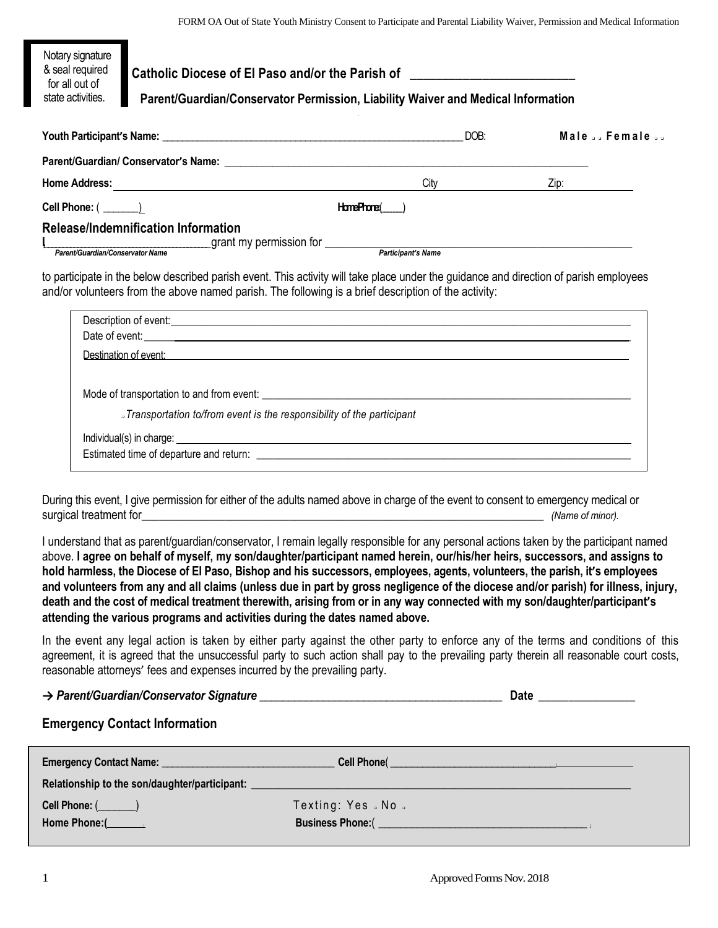| Notary signature<br>& seal required<br>for all out of<br>state activities. | Catholic Diocese of El Paso and/or the Parish of _______________________________<br>Parent/Guardian/Conservator Permission, Liability Waiver and Medical Information |           |      |              |
|----------------------------------------------------------------------------|----------------------------------------------------------------------------------------------------------------------------------------------------------------------|-----------|------|--------------|
|                                                                            |                                                                                                                                                                      |           | DOB: | Male  Female |
|                                                                            |                                                                                                                                                                      |           |      |              |
|                                                                            |                                                                                                                                                                      | City      |      | Zip:         |
|                                                                            |                                                                                                                                                                      | HomePhone |      |              |
|                                                                            | Release/Indemnification Information                                                                                                                                  |           |      |              |

*Parent/Guardian/Conservator Name Participant's Name*

to participate in the below described parish event. This activity will take place under the guidance and direction of parish employees and/or volunteers from the above named parish. The following is a brief description of the activity:

| Date of event: <u>example and the set of example and the set of example and the set of example and the set of the set of the set of the set of the set of the set of the set of the set of the set of the set of the set of the </u> |
|--------------------------------------------------------------------------------------------------------------------------------------------------------------------------------------------------------------------------------------|
| <b>Destination of event: Destination of event:</b>                                                                                                                                                                                   |
|                                                                                                                                                                                                                                      |
|                                                                                                                                                                                                                                      |
| Jransportation to/from event is the responsibility of the participant                                                                                                                                                                |
|                                                                                                                                                                                                                                      |
|                                                                                                                                                                                                                                      |
|                                                                                                                                                                                                                                      |

During this event, I give permission for either of the adults named above in charge of the event to consent to emergency medical or surgical treatment for the surgical treatment for the state of minor).

I understand that as parent/guardian/conservator, I remain legally responsible for any personal actions taken by the participant named above. **I agree on behalf of myself, my son/daughter/participant named herein, our/his/her heirs, successors, and assigns to hold harmless, the Diocese of El Paso, Bishop and his successors, employees, agents, volunteers, the parish, it's employees and volunteers from any and all claims (unless due in part by gross negligence of the diocese and/or parish) for illness, injury, death and the cost of medical treatment therewith, arising from or in any way connected with my son/daughter/participant's attending the various programs and activities during the dates named above.**

In the event any legal action is taken by either party against the other party to enforce any of the terms and conditions of this agreement, it is agreed that the unsuccessful party to such action shall pay to the prevailing party therein all reasonable court costs, reasonable attorneys' fees and expenses incurred by the prevailing party.

## **→** *Parent/Guardian/Conservator Signature \_\_\_\_\_\_\_\_\_\_\_\_\_\_\_\_\_\_\_\_\_\_\_\_\_\_\_\_\_\_\_\_\_\_\_\_\_\_\_\_\_\_* **Date \_\_\_\_\_\_\_\_\_\_\_\_\_\_\_\_**

## **Emergency Contact Information**

| <b>Emergency Contact Name:</b><br><u> 1989 - Johann Stein, fransk politiker (d. 1989)</u> | Cell Phone( Call Control Control Control Control Control Control Control Control Control Control Control Control Control Control Control Control Control Control Control Control Control Control Control Control Control Contr |  |
|-------------------------------------------------------------------------------------------|--------------------------------------------------------------------------------------------------------------------------------------------------------------------------------------------------------------------------------|--|
| Relationship to the son/daughter/participant:                                             |                                                                                                                                                                                                                                |  |
| Cell Phone: $(\_\_)$                                                                      | Texting: Yes No .                                                                                                                                                                                                              |  |
| Home Phone: $($                                                                           |                                                                                                                                                                                                                                |  |
|                                                                                           |                                                                                                                                                                                                                                |  |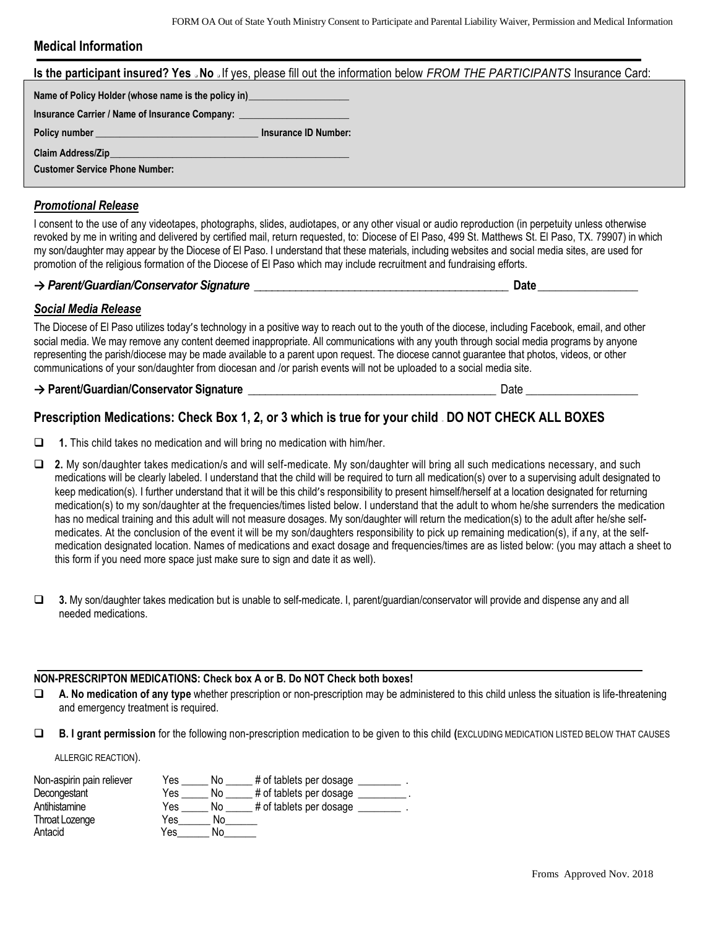### **Medical Information**

|                                                                                  | Is the participant insured? Yes . No . If yes, please fill out the information below FROM THE PARTICIPANTS Insurance Card: |  |
|----------------------------------------------------------------------------------|----------------------------------------------------------------------------------------------------------------------------|--|
| Name of Policy Holder (whose name is the policy in)                              |                                                                                                                            |  |
| Insurance Carrier / Name of Insurance Company: _________________________________ |                                                                                                                            |  |
| Policy number experience and the policy number                                   | Insurance ID Number:                                                                                                       |  |
|                                                                                  |                                                                                                                            |  |
| <b>Customer Service Phone Number:</b>                                            |                                                                                                                            |  |
|                                                                                  |                                                                                                                            |  |

# *Promotional Release*

I consent to the use of any videotapes, photographs, slides, audiotapes, or any other visual or audio reproduction (in perpetuity unless otherwise revoked by me in writing and delivered by certified mail, return requested, to: Diocese of El Paso, 499 St. Matthews St. El Paso, TX. 79907) in which my son/daughter may appear by the Diocese of El Paso. I understand that these materials, including websites and social media sites, are used for promotion of the religious formation of the Diocese of El Paso which may include recruitment and fundraising efforts.

## **→** *Parent/Guardian/Conservator Signature \_\_\_\_\_\_\_\_\_\_\_\_\_\_\_\_\_\_\_\_\_\_\_\_\_\_\_\_\_\_\_\_\_\_\_\_\_\_\_\_\_\_\_* **Date\_\_\_\_\_\_\_\_\_\_\_\_\_\_\_\_\_**

# *Social Media Release*

The Diocese of El Paso utilizes today's technology in a positive way to reach out to the youth of the diocese, including Facebook, email, and other social media. We may remove any content deemed inappropriate. All communications with any youth through social media programs by anyone representing the parish/diocese may be made available to a parent upon request. The diocese cannot guarantee that photos, videos, or other communications of your son/daughter from diocesan and /or parish events will not be uploaded to a social media site.

### → Parent/Guardian/Conservator Signature **below** and the constant of the Date Date

# **Prescription Medications: Check Box 1, 2, or 3 which is true for your child – DO NOT CHECK ALL BOXES**

- **1.** This child takes no medication and will bring no medication with him/her.
- **2.** My son/daughter takes medication/s and will self-medicate. My son/daughter will bring all such medications necessary, and such medications will be clearly labeled. I understand that the child will be required to turn all medication(s) over to a supervising adult designated to keep medication(s). I further understand that it will be this child's responsibility to present himself/herself at a location designated for returning medication(s) to my son/daughter at the frequencies/times listed below. I understand that the adult to whom he/she surrenders the medication has no medical training and this adult will not measure dosages. My son/daughter will return the medication(s) to the adult after he/she selfmedicates. At the conclusion of the event it will be my son/daughters responsibility to pick up remaining medication(s), if a ny, at the selfmedication designated location. Names of medications and exact dosage and frequencies/times are as listed below: (you may attach a sheet to this form if you need more space just make sure to sign and date it as well).
- **3.** My son/daughter takes medication but is unable to self-medicate. I, parent/guardian/conservator will provide and dispense any and all needed medications.

#### **NON-PRESCRIPTON MEDICATIONS: Check box A or B. Do NOT Check both boxes!**

- **A. No medication of any type** whether prescription or non-prescription may be administered to this child unless the situation is life-threatening and emergency treatment is required.
- **B. I grant permission** for the following non-prescription medication to be given to this child **(**EXCLUDING MEDICATION LISTED BELOW THAT CAUSES

ALLERGIC REACTION).

| Non-aspirin pain reliever | Yes | No | # of tablets per dosage |
|---------------------------|-----|----|-------------------------|
| Decongestant              | Yes | No | # of tablets per dosage |
| Antihistamine             | Yes | No | # of tablets per dosage |
| Throat Lozenge            | Yes | No |                         |
| Antacid                   | Yes | No |                         |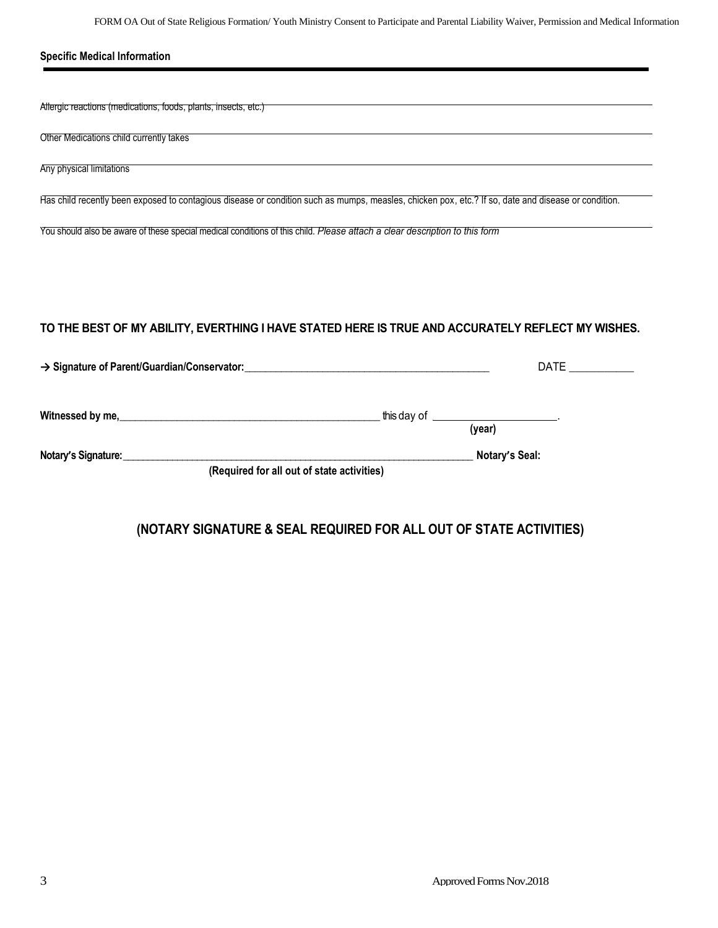| <b>Specific Medical Information</b>                                                                                                                 |                                                    |
|-----------------------------------------------------------------------------------------------------------------------------------------------------|----------------------------------------------------|
|                                                                                                                                                     |                                                    |
| Allergic reactions (medications, foods, plants, insects, etc.)                                                                                      |                                                    |
| Other Medications child currently takes                                                                                                             |                                                    |
| Any physical limitations                                                                                                                            |                                                    |
| Has child recently been exposed to contagious disease or condition such as mumps, measles, chicken pox, etc.? If so, date and disease or condition. |                                                    |
| You should also be aware of these special medical conditions of this child. Please attach a clear description to this form                          |                                                    |
|                                                                                                                                                     |                                                    |
|                                                                                                                                                     |                                                    |
|                                                                                                                                                     |                                                    |
| TO THE BEST OF MY ABILITY, EVERTHING I HAVE STATED HERE IS TRUE AND ACCURATELY REFLECT MY WISHES.                                                   |                                                    |
|                                                                                                                                                     | <b>DATE</b>                                        |
|                                                                                                                                                     |                                                    |
|                                                                                                                                                     | this day of ___________________________.<br>(year) |
| Notary's Signature:<br>Motary's Signature:                                                                                                          | Notary's Seal:                                     |
| (Required for all out of state activities)                                                                                                          |                                                    |

# **(NOTARY SIGNATURE & SEAL REQUIRED FOR ALL OUT OF STATE ACTIVITIES)**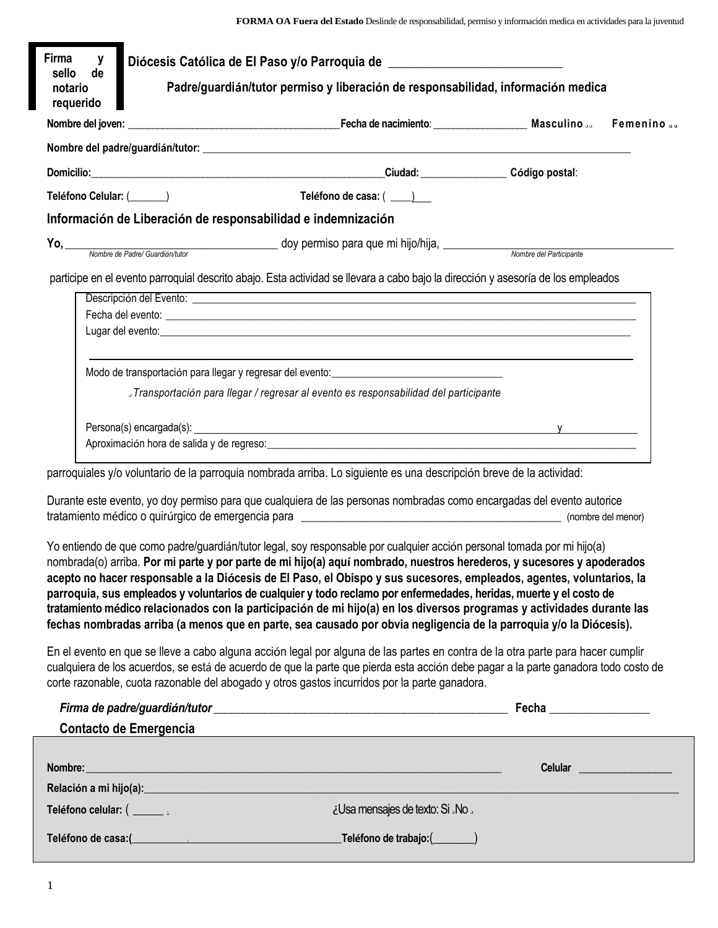| Firma<br>y<br>sello<br>de    |                               | Diócesis Católica de El Paso y/o Parroquia de __________________________________                                    |                                  |                                                                                                                                                                                                                                                                                                                                                                                                                                                                                                                                                                                                                                                                                                                                                 |                           |
|------------------------------|-------------------------------|---------------------------------------------------------------------------------------------------------------------|----------------------------------|-------------------------------------------------------------------------------------------------------------------------------------------------------------------------------------------------------------------------------------------------------------------------------------------------------------------------------------------------------------------------------------------------------------------------------------------------------------------------------------------------------------------------------------------------------------------------------------------------------------------------------------------------------------------------------------------------------------------------------------------------|---------------------------|
| notario<br>requerido         |                               |                                                                                                                     |                                  | Padre/guardián/tutor permiso y liberación de responsabilidad, información medica                                                                                                                                                                                                                                                                                                                                                                                                                                                                                                                                                                                                                                                                |                           |
|                              |                               |                                                                                                                     |                                  |                                                                                                                                                                                                                                                                                                                                                                                                                                                                                                                                                                                                                                                                                                                                                 | Femenino                  |
|                              |                               |                                                                                                                     |                                  |                                                                                                                                                                                                                                                                                                                                                                                                                                                                                                                                                                                                                                                                                                                                                 |                           |
|                              |                               | Domicilio: Código postal:                                                                                           |                                  |                                                                                                                                                                                                                                                                                                                                                                                                                                                                                                                                                                                                                                                                                                                                                 |                           |
| Teléfono Celular: (______)   |                               | Teléfono de casa: ( ___ )                                                                                           |                                  |                                                                                                                                                                                                                                                                                                                                                                                                                                                                                                                                                                                                                                                                                                                                                 |                           |
|                              |                               | Información de Liberación de responsabilidad e indemnización                                                        |                                  |                                                                                                                                                                                                                                                                                                                                                                                                                                                                                                                                                                                                                                                                                                                                                 |                           |
|                              |                               | Yo, Mombre de Padre/Guardián/tutor de Contractor do y permiso para que mi hijo/hija, Mombre del Participante        |                                  |                                                                                                                                                                                                                                                                                                                                                                                                                                                                                                                                                                                                                                                                                                                                                 |                           |
|                              |                               |                                                                                                                     |                                  | participe en el evento parroquial descrito abajo. Esta actividad se llevara a cabo bajo la dirección y asesoría de los empleados                                                                                                                                                                                                                                                                                                                                                                                                                                                                                                                                                                                                                |                           |
|                              |                               |                                                                                                                     |                                  | Fecha del evento: contra contra contra contra contra contra contra contra contra contra contra contra contra contra contra contra contra contra contra contra contra contra contra contra contra contra contra contra contra c<br>Lugar del evento: <u>expression and a series of the series of the series of the series of the series of the series of the series of the series of the series of the series of the series of the series of the series of the seri</u>                                                                                                                                                                                                                                                                          |                           |
|                              |                               | Jransportación para llegar / regresar al evento es responsabilidad del participante                                 |                                  |                                                                                                                                                                                                                                                                                                                                                                                                                                                                                                                                                                                                                                                                                                                                                 |                           |
|                              |                               |                                                                                                                     |                                  |                                                                                                                                                                                                                                                                                                                                                                                                                                                                                                                                                                                                                                                                                                                                                 |                           |
|                              |                               | parroquiales y/o voluntario de la parroquia nombrada arriba. Lo siguiente es una descripción breve de la actividad: |                                  |                                                                                                                                                                                                                                                                                                                                                                                                                                                                                                                                                                                                                                                                                                                                                 |                           |
|                              |                               |                                                                                                                     |                                  | Durante este evento, yo doy permiso para que cualquiera de las personas nombradas como encargadas del evento autorice                                                                                                                                                                                                                                                                                                                                                                                                                                                                                                                                                                                                                           |                           |
|                              |                               |                                                                                                                     |                                  | Yo entiendo de que como padre/guardián/tutor legal, soy responsable por cualquier acción personal tomada por mi hijo(a)<br>nombrada(o) arriba. Por mi parte y por parte de mi hijo(a) aquí nombrado, nuestros herederos, y sucesores y apoderados<br>acepto no hacer responsable a la Diócesis de El Paso, el Obispo y sus sucesores, empleados, agentes, voluntarios, la<br>parroquia, sus empleados y voluntarios de cualquier y todo reclamo por enfermedades, heridas, muerte y el costo de<br>tratamiento médico relacionados con la participación de mi hijo(a) en los diversos programas y actividades durante las<br>fechas nombradas arriba (a menos que en parte, sea causado por obvia negligencia de la parroquia y/o la Diócesis). |                           |
|                              |                               | corte razonable, cuota razonable del abogado y otros gastos incurridos por la parte ganadora.                       |                                  | En el evento en que se lleve a cabo alguna acción legal por alguna de las partes en contra de la otra parte para hacer cumplir<br>cualquiera de los acuerdos, se está de acuerdo de que la parte que pierda esta acción debe pagar a la parte ganadora todo costo de                                                                                                                                                                                                                                                                                                                                                                                                                                                                            |                           |
|                              |                               |                                                                                                                     |                                  |                                                                                                                                                                                                                                                                                                                                                                                                                                                                                                                                                                                                                                                                                                                                                 |                           |
|                              | <b>Contacto de Emergencia</b> |                                                                                                                     |                                  | <u> 1980 - Johann Barn, fransk politik (d. 1980)</u>                                                                                                                                                                                                                                                                                                                                                                                                                                                                                                                                                                                                                                                                                            |                           |
|                              |                               |                                                                                                                     |                                  |                                                                                                                                                                                                                                                                                                                                                                                                                                                                                                                                                                                                                                                                                                                                                 | Celular _________________ |
|                              |                               |                                                                                                                     |                                  |                                                                                                                                                                                                                                                                                                                                                                                                                                                                                                                                                                                                                                                                                                                                                 |                           |
| Teléfono celular: ( ______ , |                               |                                                                                                                     | ¿Usa mensajes de texto: Si "No " |                                                                                                                                                                                                                                                                                                                                                                                                                                                                                                                                                                                                                                                                                                                                                 |                           |
|                              |                               |                                                                                                                     |                                  |                                                                                                                                                                                                                                                                                                                                                                                                                                                                                                                                                                                                                                                                                                                                                 |                           |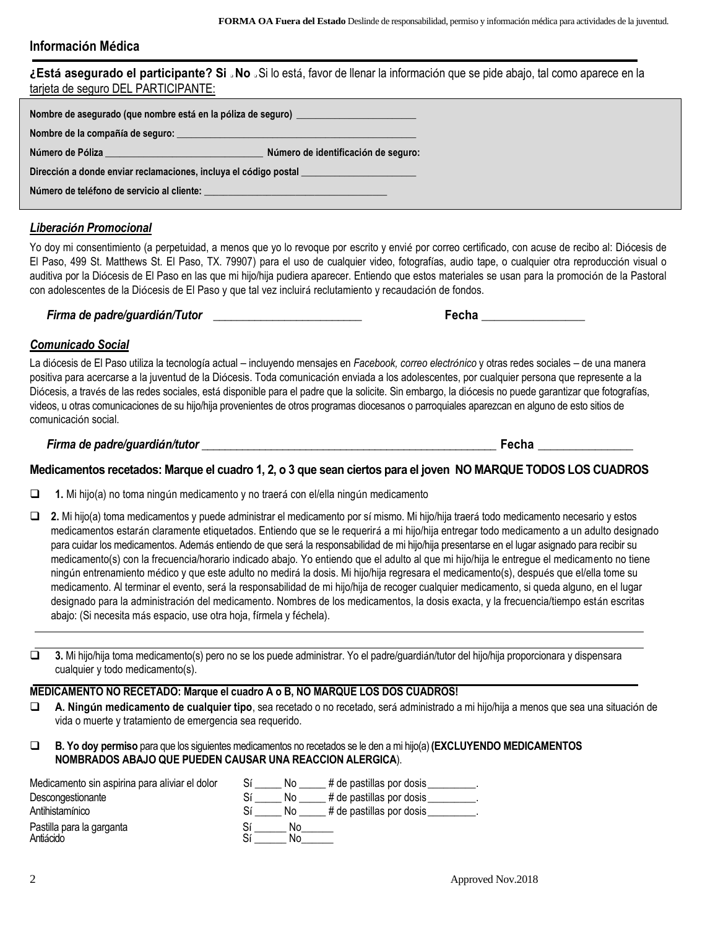### **Información Médica**

**¿Está asegurado el participante? Si** ❑ **No** ❑ Si lo está, favor de llenar la información que se pide abajo, tal como aparece en la tarjeta de seguro DEL PARTICIPANTE:

| Nombre de asegurado (que nombre está en la póliza de seguro) ___________________                                       |                                     |  |  |  |
|------------------------------------------------------------------------------------------------------------------------|-------------------------------------|--|--|--|
|                                                                                                                        |                                     |  |  |  |
| Número de Póliza <b>como a contra a contra a contra a contra a contra a contra a contra a contra a contra a contra</b> | Número de identificación de seguro: |  |  |  |
| Dirección a donde enviar reclamaciones, incluya el código postal _____________________                                 |                                     |  |  |  |
| Número de teléfono de servicio al cliente: en entre en el proporcional de la proporcional de la proporcional d         |                                     |  |  |  |

### *Liberación Promocional*

Yo doy mi consentimiento (a perpetuidad, a menos que yo lo revoque por escrito y envié por correo certificado, con acuse de recibo al: Diócesis de El Paso, 499 St. Matthews St. El Paso, TX. 79907) para el uso de cualquier video, fotografías, audio tape, o cualquier otra reproducción visual o auditiva por la Diócesis de El Paso en las que mi hijo/hija pudiera aparecer. Entiendo que estos materiales se usan para la promoción de la Pastoral con adolescentes de la Diócesis de El Paso y que tal vez incluirá reclutamiento y recaudación de fondos.

*Firma de padre/guardián/Tutor \_\_\_\_\_\_\_\_\_\_\_\_\_\_\_\_\_\_\_\_\_\_\_\_\_* **Fecha \_\_\_\_\_\_\_\_\_\_\_\_\_\_\_\_**

### *Comunicado Social*

La diócesis de El Paso utiliza la tecnología actual – incluyendo mensajes en *Facebook, correo electrónico* y otras redes sociales – de una manera positiva para acercarse a la juventud de la Diócesis. Toda comunicación enviada a los adolescentes, por cualquier persona que represente a la Diócesis, a través de las redes sociales, está disponible para el padre que la solicite. Sin embargo, la diócesis no puede garantizar que fotografías, videos, u otras comunicaciones de su hijo/hija provenientes de otros programas diocesanos o parroquiales aparezcan en alguno de esto sitios de comunicación social.

*Firma de padre/guardián/tutor \_\_\_\_\_\_\_\_\_\_\_\_\_\_\_\_\_\_\_\_\_\_\_\_\_\_\_\_\_\_\_\_\_\_\_\_\_\_\_\_\_\_\_\_\_\_\_\_\_\_\_* **Fecha \_\_\_\_\_\_\_\_\_\_\_\_\_\_\_**

#### **Medicamentos recetados: Marque el cuadro 1, 2, o 3 que sean ciertos para el joven NO MARQUE TODOS LOS CUADROS**

- **1.** Mi hijo(a) no toma ningún medicamento y no traerá con el/ella ningún medicamento
- **2.** Mi hijo(a) toma medicamentos y puede administrar el medicamento por sí mismo. Mi hijo/hija traerá todo medicamento necesario y estos medicamentos estarán claramente etiquetados. Entiendo que se le requerirá a mi hijo/hija entregar todo medicamento a un adulto designado para cuidar los medicamentos. Además entiendo de que será la responsabilidad de mi hijo/hija presentarse en el lugar asignado para recibir su medicamento(s) con la frecuencia/horario indicado abajo. Yo entiendo que el adulto al que mi hijo/hija le entregue el medicamento no tiene ningún entrenamiento médico y que este adulto no medirá la dosis. Mi hijo/hija regresara el medicamento(s), después que el/ella tome su medicamento. Al terminar el evento, será la responsabilidad de mi hijo/hija de recoger cualquier medicamento, si queda alguno, en el lugar designado para la administración del medicamento. Nombres de los medicamentos, la dosis exacta, y la frecuencia/tiempo están escritas abajo: (Si necesita más espacio, use otra hoja, fírmela y féchela).
- **3.** Mi hijo/hija toma medicamento(s) pero no se los puede administrar. Yo el padre/guardián/tutor del hijo/hija proporcionará y dispensará cualquier y todo medicamento(s).

### **MEDICAMENTO NO RECETADO: Marque el cuadro A o B, NO MARQUE LOS DOS CUADROS!**

- **A. Ningún medicamento de cualquier tipo**, sea recetado o no recetado, será administrado a mi hijo/hija a menos que sea una situación de vida o muerte y tratamiento de emergencia sea requerido.
- **B. Yo doy permiso** para que los siguientes medicamentos no recetados se le den a mi hijo(a) **(EXCLUYENDO MEDICAMENTOS NOMBRADOS ABAJO QUE PUEDEN CAUSAR UNA REACCION ALERGICA**).

| Medicamento sin aspirina para aliviar el dolor | # de pastillas por dosis<br>Νo       |
|------------------------------------------------|--------------------------------------|
| Descongestionante                              | Sí<br># de pastillas por dosis<br>No |
| Antihistamínico                                | # de pastillas por dosis<br>Sí<br>No |
| Pastilla para la garganta<br>Antiácido         | Nο<br>r.<br>NΟ                       |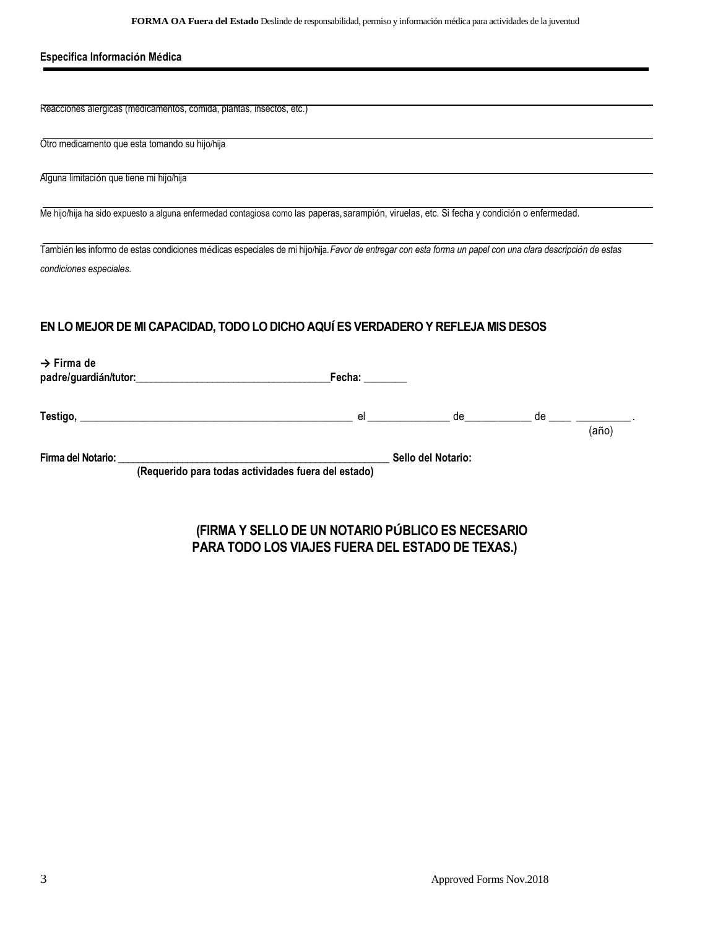| <b>FORMA OA Fuera del Estado</b> Deslinde de responsabilidad, permiso y información médica para actividades de la juventud |  |  |  |  |
|----------------------------------------------------------------------------------------------------------------------------|--|--|--|--|
|----------------------------------------------------------------------------------------------------------------------------|--|--|--|--|

| Especifica Información Médica                                                                                                                                                                                                                                                                                                            |  |  |
|------------------------------------------------------------------------------------------------------------------------------------------------------------------------------------------------------------------------------------------------------------------------------------------------------------------------------------------|--|--|
|                                                                                                                                                                                                                                                                                                                                          |  |  |
| Reacciones alérgicas (medicamentos, comida, plantas, insectos, etc.)                                                                                                                                                                                                                                                                     |  |  |
| Otro medicamento que esta tomando su hijo/hija                                                                                                                                                                                                                                                                                           |  |  |
| Alguna limitación que tiene mi hijo/hija                                                                                                                                                                                                                                                                                                 |  |  |
| Me hijo/hija ha sido expuesto a alguna enfermedad contagiosa como las paperas, sarampión, viruelas, etc. Si fecha y condición o enfermedad.                                                                                                                                                                                              |  |  |
| También les informo de estas condiciones médicas especiales de mi hijo/hija. Favor de entregar con esta forma un papel con una clara descripción de estas                                                                                                                                                                                |  |  |
| condiciones especiales.                                                                                                                                                                                                                                                                                                                  |  |  |
| EN LO MEJOR DE MI CAPACIDAD, TODO LO DICHO AQUÍ ES VERDADERO Y REFLEJA MIS DESOS                                                                                                                                                                                                                                                         |  |  |
| $\rightarrow$ Firma de                                                                                                                                                                                                                                                                                                                   |  |  |
|                                                                                                                                                                                                                                                                                                                                          |  |  |
| $Testigo, \underline{\hspace{1.5cm}} \qquad \hspace{1.5cm} \text{else} \underline{\hspace{1.5cm}} \qquad \hspace{1.5cm} \text{de } \underline{\hspace{1.5cm}} \qquad \hspace{1.5cm} \text{de } \underline{\hspace{1.5cm}} \qquad \hspace{1.5cm} \text{de } \underline{\hspace{1.5cm}} \qquad \hspace{1.5cm} \text{(año)} \cdot \text{b}$ |  |  |
|                                                                                                                                                                                                                                                                                                                                          |  |  |
| Firma del Notario: _________<br>Sello del Notario:                                                                                                                                                                                                                                                                                       |  |  |

**(Requerido para todas actividades fuera del estado)**

# **(FIRMA Y SELLO DE UN NOTARIO PÚBLICO ES NECESARIO PARA TODO LOS VIAJES FUERA DEL ESTADO DE TEXAS.)**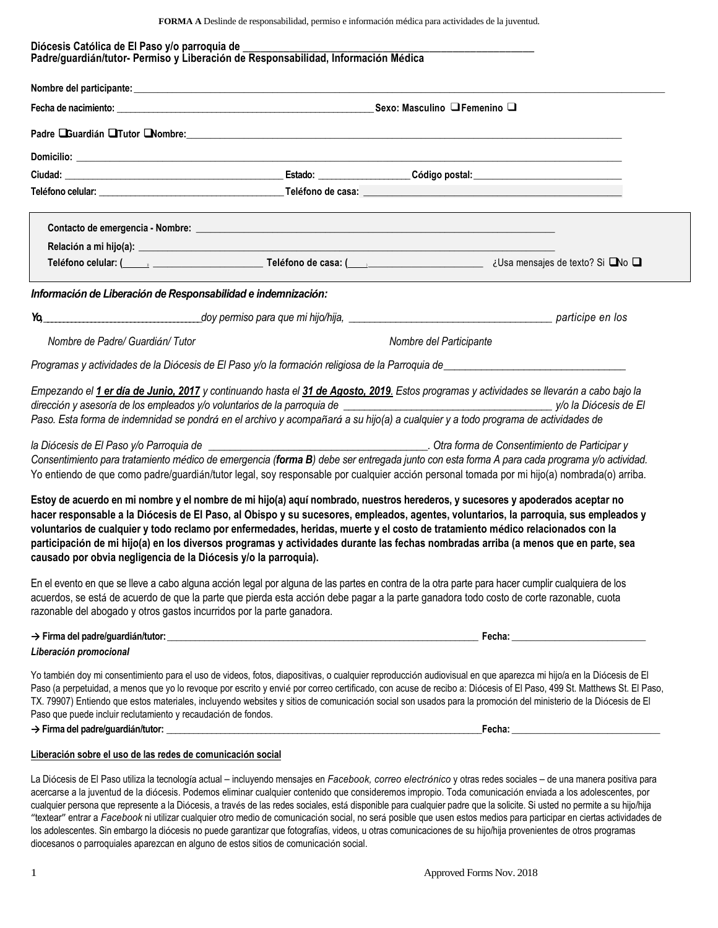**FORMA A** Deslinde de responsabilidad, permiso e información médica para actividades de la juventud.

|                                                                                                                                                                                                                         | Nombre del participante: <u>expression del participante</u> del participante del participante del participante del par |                                                                                                                                                                                                                                                                                                                                                                                                                                                                                                                                                |
|-------------------------------------------------------------------------------------------------------------------------------------------------------------------------------------------------------------------------|------------------------------------------------------------------------------------------------------------------------|------------------------------------------------------------------------------------------------------------------------------------------------------------------------------------------------------------------------------------------------------------------------------------------------------------------------------------------------------------------------------------------------------------------------------------------------------------------------------------------------------------------------------------------------|
|                                                                                                                                                                                                                         |                                                                                                                        |                                                                                                                                                                                                                                                                                                                                                                                                                                                                                                                                                |
|                                                                                                                                                                                                                         |                                                                                                                        |                                                                                                                                                                                                                                                                                                                                                                                                                                                                                                                                                |
|                                                                                                                                                                                                                         |                                                                                                                        |                                                                                                                                                                                                                                                                                                                                                                                                                                                                                                                                                |
|                                                                                                                                                                                                                         |                                                                                                                        |                                                                                                                                                                                                                                                                                                                                                                                                                                                                                                                                                |
|                                                                                                                                                                                                                         |                                                                                                                        |                                                                                                                                                                                                                                                                                                                                                                                                                                                                                                                                                |
|                                                                                                                                                                                                                         |                                                                                                                        |                                                                                                                                                                                                                                                                                                                                                                                                                                                                                                                                                |
|                                                                                                                                                                                                                         |                                                                                                                        |                                                                                                                                                                                                                                                                                                                                                                                                                                                                                                                                                |
|                                                                                                                                                                                                                         |                                                                                                                        | Teléfono celular: ( <u>Computed viene contra celular: (Computed viene celular: (Computed viene celular:</u> (Computed viene celular: Quicketing viene celular: (Computed viene celular: Quicketing viene celular: Quicketing viene                                                                                                                                                                                                                                                                                                             |
| Información de Liberación de Responsabilidad e indemnización:                                                                                                                                                           |                                                                                                                        |                                                                                                                                                                                                                                                                                                                                                                                                                                                                                                                                                |
| $Y_0$                                                                                                                                                                                                                   |                                                                                                                        |                                                                                                                                                                                                                                                                                                                                                                                                                                                                                                                                                |
| Nombre de Padre/ Guardián/Tutor                                                                                                                                                                                         |                                                                                                                        | Nombre del Participante                                                                                                                                                                                                                                                                                                                                                                                                                                                                                                                        |
|                                                                                                                                                                                                                         |                                                                                                                        | Programas y actividades de la Diócesis de El Paso y/o la formación religiosa de la Parroquia de entre entre entre al medical de entre entre entre entre entre entre entre entre entre entre entre entre entre entre entre entr                                                                                                                                                                                                                                                                                                                 |
|                                                                                                                                                                                                                         |                                                                                                                        | dirección y asesoría de los empleados y/o voluntarios de la parroquia de eleccionente entre entre entre y/o la Diócesis de El<br>Paso. Esta forma de indemnidad se pondrá en el archivo y acompañará a su hijo(a) a cualquier y a todo programa de actividades de                                                                                                                                                                                                                                                                              |
|                                                                                                                                                                                                                         |                                                                                                                        | Otra forma de Consentimiento de Participar y<br>Consentimiento para tratamiento médico de emergencia (forma B) debe ser entregada junto con esta forma A para cada programa y/o actividad.<br>Yo entiendo de que como padre/guardián/tutor legal, soy responsable por cualquier acción personal tomada por mi hijo(a) nombrada(o) arriba.                                                                                                                                                                                                      |
|                                                                                                                                                                                                                         | causado por obvia negligencia de la Diócesis y/o la parroquia).                                                        | Estoy de acuerdo en mi nombre y el nombre de mi hijo(a) aquí nombrado, nuestros herederos, y sucesores y apoderados aceptar no<br>hacer responsable a la Diócesis de El Paso, al Obispo y su sucesores, empleados, agentes, voluntarios, la parroquia, sus empleados y<br>voluntarios de cualquier y todo reclamo por enfermedades, heridas, muerte y el costo de tratamiento médico relacionados con la<br>participación de mi hijo(a) en los diversos programas y actividades durante las fechas nombradas arriba (a menos que en parte, sea |
|                                                                                                                                                                                                                         |                                                                                                                        | En el evento en que se lleve a cabo alguna acción legal por alguna de las partes en contra de la otra parte para hacer cumplir cualquiera de los<br>acuerdos, se está de acuerdo de que la parte que pierda esta acción debe pagar a la parte ganadora todo costo de corte razonable, cuota                                                                                                                                                                                                                                                    |
|                                                                                                                                                                                                                         |                                                                                                                        |                                                                                                                                                                                                                                                                                                                                                                                                                                                                                                                                                |
|                                                                                                                                                                                                                         |                                                                                                                        | Yo también doy mi consentimiento para el uso de videos, fotos, diapositivas, o cualquier reproducción audiovisual en que aparezca mi hijo/a en la Diócesis de El<br>TX. 79907) Entiendo que estos materiales, incluyendo websites y sitios de comunicación social son usados para la promoción del ministerio de la Diócesis de El                                                                                                                                                                                                             |
| la Diócesis de El Paso y/o Parroquia de __________<br>razonable del abogado y otros gastos incurridos por la parte ganadora.<br>Liberación promocional<br>Paso que puede incluir reclutamiento y recaudación de fondos. |                                                                                                                        | Paso (a perpetuidad, a menos que yo lo revoque por escrito y envié por correo certificado, con acuse de recibo a: Diócesis of El Paso, 499 St. Matthews St. El Paso,                                                                                                                                                                                                                                                                                                                                                                           |

"textear" entrar a *Facebook* ni utilizar cualquier otro medio de comunicación social, no será posible que usen estos medios para participar en ciertas actividades de los adolescentes. Sin embargo la diócesis no puede garantizar que fotografías, videos, u otras comunicaciones de su hijo/hija provenientes de otros programas diocesanos o parroquiales aparezcan en alguno de estos sitios de comunicación social.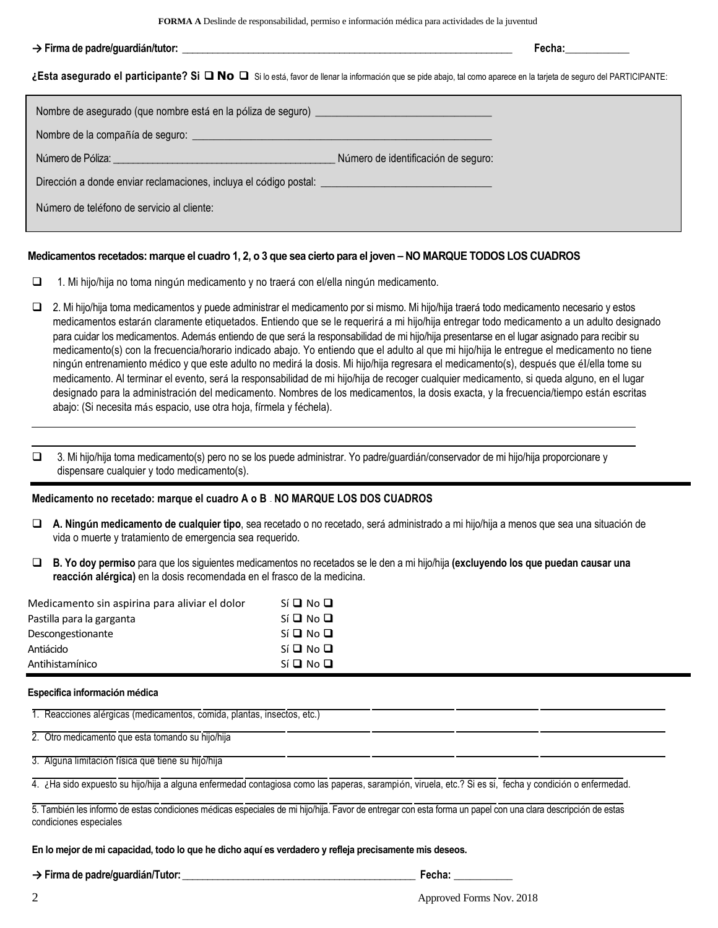**FORMA A** Deslinde de responsabilidad, permiso e información médica para actividades de la juventud

#### **→ Firma de padre/guardián/tutor: \_\_\_\_\_\_\_\_\_\_\_\_\_\_\_\_\_\_\_\_\_\_\_\_\_\_\_\_\_\_\_\_\_\_\_\_\_\_\_\_\_\_\_\_\_\_\_\_\_\_\_\_\_\_\_\_\_\_\_\_\_\_\_\_\_ Fecha:\_\_\_\_\_\_\_\_\_\_\_\_**

**¿Esta asegurado el participante? Si** ❑ **No** ❑ Si lo está, favor de llenar la información que se pide abajo, tal como aparece en la tarjeta de seguro del PARTICIPANTE:

| Nombre de asegurado (que nombre está en la póliza de seguro) ____________________                    |                                     |
|------------------------------------------------------------------------------------------------------|-------------------------------------|
|                                                                                                      |                                     |
| Número de Póliza: <u>en alguna establista en alguna establecer</u>                                   | Número de identificación de seguro: |
| Dirección a donde enviar reclamaciones, incluya el código postal: __________________________________ |                                     |
| Número de teléfono de servicio al cliente:                                                           |                                     |
|                                                                                                      |                                     |

#### **Medicamentos recetados: marque el cuadro 1, 2, o 3 que sea cierto para el joven – NO MARQUE TODOS LOS CUADROS**

 $\Box$  1. Mi hijo/hija no toma ningún medicamento y no traerá con el/ella ningún medicamento.

- 2. Mi hijo/hija toma medicamentos y puede administrar el medicamento por si mismo. Mi hijo/hija traerá todo medicamento necesario y estos medicamentos estarán claramente etiquetados. Entiendo que se le requerirá a mi hijo/hija entregar todo medicamento a un adulto designado para cuidar los medicamentos. Además entiendo de que será la responsabilidad de mi hijo/hija presentarse en el lugar asignado para recibir su medicamento(s) con la frecuencia/horario indicado abajo. Yo entiendo que el adulto al que mi hijo/hija le entregue el medicamento no tiene ningún entrenamiento médico y que este adulto no medirá la dosis. Mi hijo/hija regresara el medicamento(s), después que él/ella tome su medicamento. Al terminar el evento, será la responsabilidad de mi hijo/hija de recoger cualquier medicamento, si queda alguno, en el lugar designado para la administración del medicamento. Nombres de los medicamentos, la dosis exacta, y la frecuencia/tiempo están escritas abajo: (Si necesita más espacio, use otra hoja, fírmela y féchela).
- 3. Mi hijo/hija toma medicamento(s) pero no se los puede administrar. Yo padre/guardián/conservador de mi hijo/hija proporcionare y dispensare cualquier y todo medicamento(s).

#### **Medicamento no recetado: marque el cuadro A o B – NO MARQUE LOS DOS CUADROS**

- **A. Ningún medicamento de cualquier tipo**, sea recetado o no recetado, será administrado a mi hijo/hija a menos que sea una situación de vida o muerte y tratamiento de emergencia sea requerido.
- **B. Yo doy permiso** para que los siguientes medicamentos no recetados se le den a mi hijo/hija **(excluyendo los que puedan causar una reacción alérgica)** en la dosis recomendada en el frasco de la medicina.

| Medicamento sin aspirina para aliviar el dolor | $Si$ $\Box$ $No$ $\Box$   |
|------------------------------------------------|---------------------------|
| Pastilla para la garganta                      | $Si$ <b>Q</b> No <b>Q</b> |
| Descongestionante                              | $Si$ $D$ $No$ $D$         |
| Antiácido                                      | $Si$ <b>Q</b> No <b>Q</b> |
| Antihistamínico                                | $Si$ <b>Q</b> No <b>Q</b> |

#### **Especifica información médica**

1. Reacciones alérgicas (medicamentos, comida, plantas, insectos, etc.)

2. Otro medicamento que esta tomando su hijo/hija

3. Alguna limitación física que tiene su hijo/hija

4. ¿Ha sido expuesto su hijo/hija a alguna enfermedad contagiosa como las paperas, sarampión, viruela, etc.? Si es si, fecha y condición o enfermedad.

5. También les informo de estas condiciones médicas especiales de mi hijo/hija. Favor de entregar con esta forma un papel con una clara descripción de estas condiciones especiales*.*

#### **En lo mejor de mi capacidad, todo lo que he dicho aquí es verdadero y refleja precisamente mis deseos.**

#### **→ Firma de padre/guardián/Tutor: \_\_\_\_\_\_\_\_\_\_\_\_\_\_\_\_\_\_\_\_\_\_\_\_\_\_\_\_\_\_\_\_\_\_\_\_\_\_\_\_\_\_\_\_\_\_ Fecha: \_\_\_\_\_\_\_\_\_\_\_**

2 Approved Forms Nov. 2018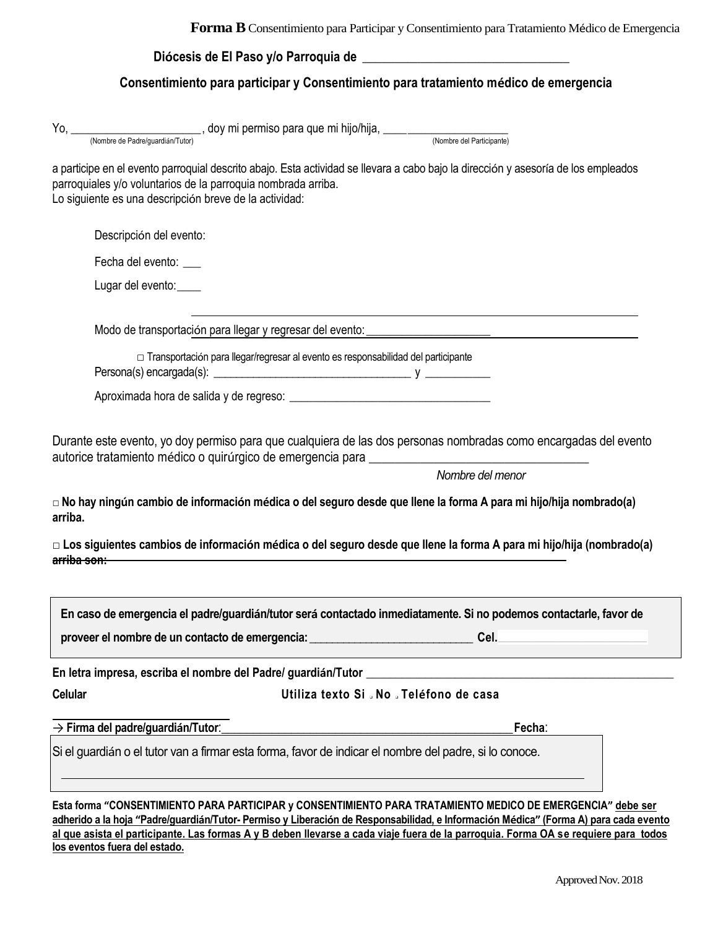| Diócesis de El Paso y/o Parroquia de |  |
|--------------------------------------|--|
|                                      |  |

# **Consentimiento para participar y Consentimiento para tratamiento médico de emergencia**

|                        | a participe en el evento parroquial descrito abajo. Esta actividad se llevara a cabo bajo la dirección y asesoría de los empleados<br>parroquiales y/o voluntarios de la parroquia nombrada arriba.<br>Lo siguiente es una descripción breve de la actividad:                                                                                                                       |
|------------------------|-------------------------------------------------------------------------------------------------------------------------------------------------------------------------------------------------------------------------------------------------------------------------------------------------------------------------------------------------------------------------------------|
|                        | Descripción del evento:                                                                                                                                                                                                                                                                                                                                                             |
|                        | Fecha del evento:                                                                                                                                                                                                                                                                                                                                                                   |
|                        | Lugar del evento:____                                                                                                                                                                                                                                                                                                                                                               |
|                        | Modo de transportación para llegar y regresar del evento: _______________________                                                                                                                                                                                                                                                                                                   |
|                        | □ Transportación para llegar/regresar al evento es responsabilidad del participante                                                                                                                                                                                                                                                                                                 |
|                        |                                                                                                                                                                                                                                                                                                                                                                                     |
| arriba.<br>arriba son: | Durante este evento, yo doy permiso para que cualquiera de las dos personas nombradas como encargadas del evento<br>Nombre del menor<br>□ No hay ningún cambio de información médica o del seguro desde que llene la forma A para mi hijo/hija nombrado(a)<br>□ Los siguientes cambios de información médica o del seguro desde que llene la forma A para mi hijo/hija (nombrado(a) |
|                        | En caso de emergencia el padre/guardián/tutor será contactado inmediatamente. Si no podemos contactarle, favor de                                                                                                                                                                                                                                                                   |
|                        | proveer el nombre de un contacto de emergencia:<br>Cel.                                                                                                                                                                                                                                                                                                                             |
|                        | En letra impresa, escriba el nombre del Padre/ guardián/Tutor                                                                                                                                                                                                                                                                                                                       |
| <b>Celular</b>         | Utiliza texto Si . No . Teléfono de casa                                                                                                                                                                                                                                                                                                                                            |
|                        | $\rightarrow$ Firma del padre/guardián/Tutor:<br>Fecha:                                                                                                                                                                                                                                                                                                                             |
|                        | Si el quardián o el tutor van a firmar esta forma, favor de indicar el nombre del padre, si lo conoce.                                                                                                                                                                                                                                                                              |
|                        |                                                                                                                                                                                                                                                                                                                                                                                     |